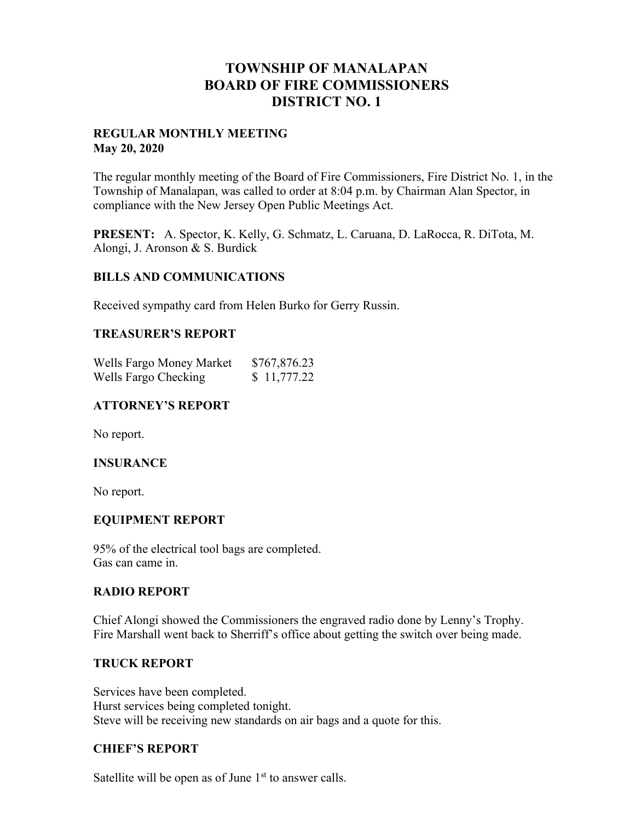# **TOWNSHIP OF MANALAPAN BOARD OF FIRE COMMISSIONERS DISTRICT NO. 1**

# **REGULAR MONTHLY MEETING May 20, 2020**

The regular monthly meeting of the Board of Fire Commissioners, Fire District No. 1, in the Township of Manalapan, was called to order at 8:04 p.m. by Chairman Alan Spector, in compliance with the New Jersey Open Public Meetings Act.

**PRESENT:** A. Spector, K. Kelly, G. Schmatz, L. Caruana, D. LaRocca, R. DiTota, M. Alongi, J. Aronson & S. Burdick

# **BILLS AND COMMUNICATIONS**

Received sympathy card from Helen Burko for Gerry Russin.

#### **TREASURER'S REPORT**

| Wells Fargo Money Market | \$767,876.23 |
|--------------------------|--------------|
| Wells Fargo Checking     | \$11,777.22  |

# **ATTORNEY'S REPORT**

No report.

# **INSURANCE**

No report.

# **EQUIPMENT REPORT**

95% of the electrical tool bags are completed. Gas can came in.

#### **RADIO REPORT**

Chief Alongi showed the Commissioners the engraved radio done by Lenny's Trophy. Fire Marshall went back to Sherriff's office about getting the switch over being made.

#### **TRUCK REPORT**

Services have been completed. Hurst services being completed tonight. Steve will be receiving new standards on air bags and a quote for this.

# **CHIEF'S REPORT**

Satellite will be open as of June  $1<sup>st</sup>$  to answer calls.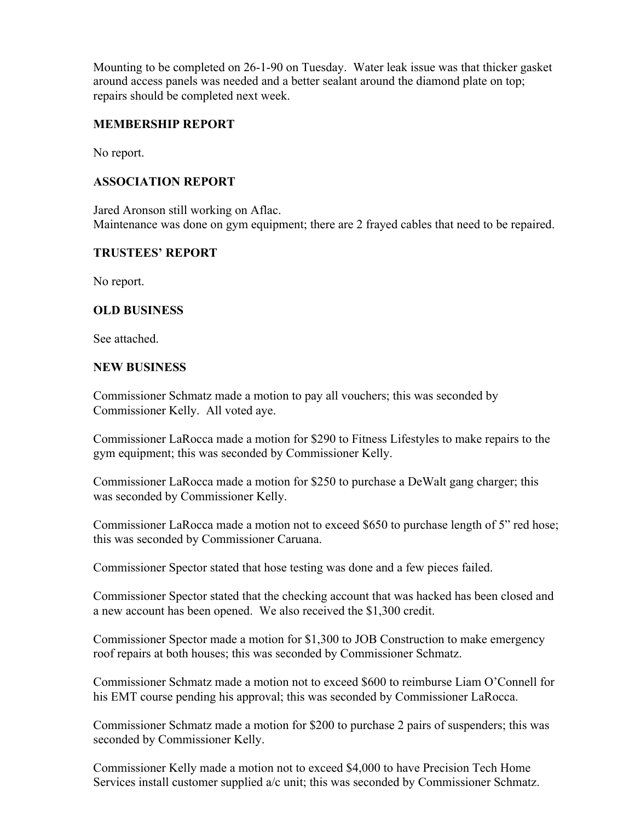Mounting to be completed on 26-1-90 on Tuesday. Water leak issue was that thicker gasket around access panels was needed and a better sealant around the diamond plate on top; repairs should be completed next week.

# **MEMBERSHIP REPORT**

No report.

# **ASSOCIATION REPORT**

Jared Aronson still working on Aflac. Maintenance was done on gym equipment; there are 2 frayed cables that need to be repaired.

# **TRUSTEES' REPORT**

No report.

# **OLD BUSINESS**

See attached.

# **NEW BUSINESS**

Commissioner Schmatz made a motion to pay all vouchers; this was seconded by Commissioner Kelly. All voted aye.

Commissioner LaRocca made a motion for \$290 to Fitness Lifestyles to make repairs to the gym equipment; this was seconded by Commissioner Kelly.

Commissioner LaRocca made a motion for \$250 to purchase a DeWalt gang charger; this was seconded by Commissioner Kelly.

Commissioner LaRocca made a motion not to exceed \$650 to purchase length of 5" red hose; this was seconded by Commissioner Caruana.

Commissioner Spector stated that hose testing was done and a few pieces failed.

Commissioner Spector stated that the checking account that was hacked has been closed and a new account has been opened. We also received the \$1,300 credit.

Commissioner Spector made a motion for \$1,300 to JOB Construction to make emergency roof repairs at both houses; this was seconded by Commissioner Schmatz.

Commissioner Schmatz made a motion not to exceed \$600 to reimburse Liam O'Connell for his EMT course pending his approval; this was seconded by Commissioner LaRocca.

Commissioner Schmatz made a motion for \$200 to purchase 2 pairs of suspenders; this was seconded by Commissioner Kelly.

Commissioner Kelly made a motion not to exceed \$4,000 to have Precision Tech Home Services install customer supplied a/c unit; this was seconded by Commissioner Schmatz.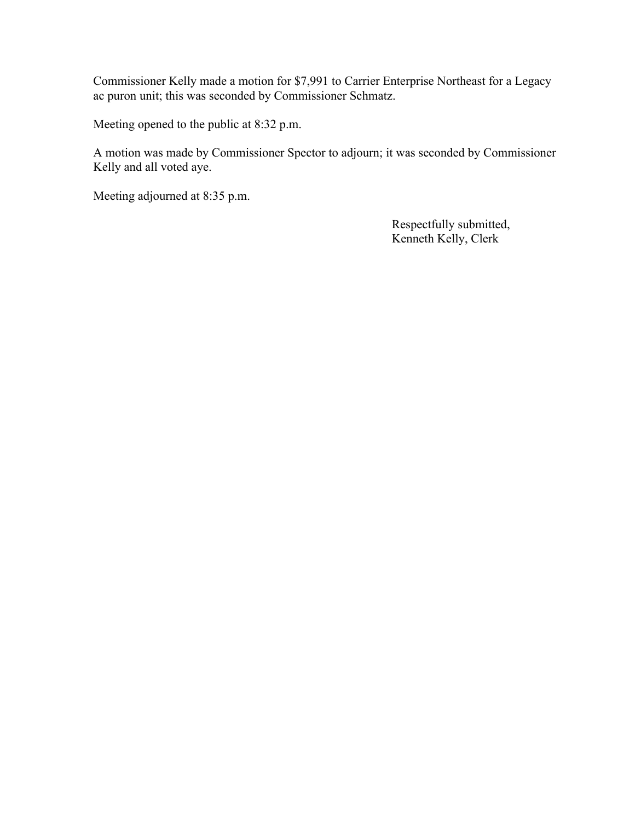Commissioner Kelly made a motion for \$7,991 to Carrier Enterprise Northeast for a Legacy ac puron unit; this was seconded by Commissioner Schmatz.

Meeting opened to the public at 8:32 p.m.

A motion was made by Commissioner Spector to adjourn; it was seconded by Commissioner Kelly and all voted aye.

Meeting adjourned at 8:35 p.m.

 Respectfully submitted, Kenneth Kelly, Clerk